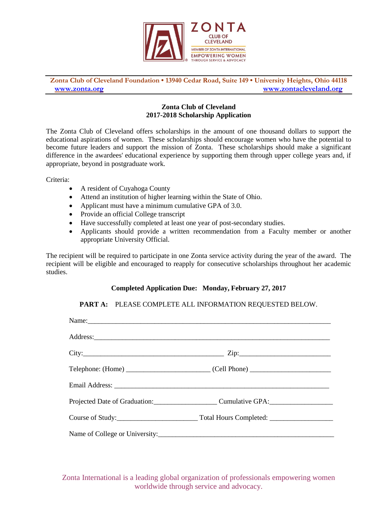

**Zonta Club of Cleveland Foundation • 13940 Cedar Road, Suite 149 • University Heights, Ohio 44118 [www.zonta.org](http://www.zonta.org/) [www.zontacleveland.org](http://www.zontacleveland.org/)**

## **Zonta Club of Cleveland 2017-2018 Scholarship Application**

The Zonta Club of Cleveland offers scholarships in the amount of one thousand dollars to support the educational aspirations of women. These scholarships should encourage women who have the potential to become future leaders and support the mission of Zonta. These scholarships should make a significant difference in the awardees' educational experience by supporting them through upper college years and, if appropriate, beyond in postgraduate work.

Criteria:

- A resident of Cuyahoga County
- Attend an institution of higher learning within the State of Ohio.
- Applicant must have a minimum cumulative GPA of 3.0.
- Provide an official College transcript
- Have successfully completed at least one year of post-secondary studies.
- Applicants should provide a written recommendation from a Faculty member or another appropriate University Official.

The recipient will be required to participate in one Zonta service activity during the year of the award. The recipient will be eligible and encouraged to reapply for consecutive scholarships throughout her academic studies.

## **Completed Application Due: Monday, February 27, 2017**

**PART A:** PLEASE COMPLETE ALL INFORMATION REQUESTED BELOW.

| Name:                                         |
|-----------------------------------------------|
|                                               |
|                                               |
| $Telephone: (Home)$ (Cell Phone) (Cell Phone) |
|                                               |
| Projected Date of Graduation: Cumulative GPA: |
|                                               |
|                                               |

Zonta International is a leading global organization of professionals empowering women worldwide through service and advocacy.